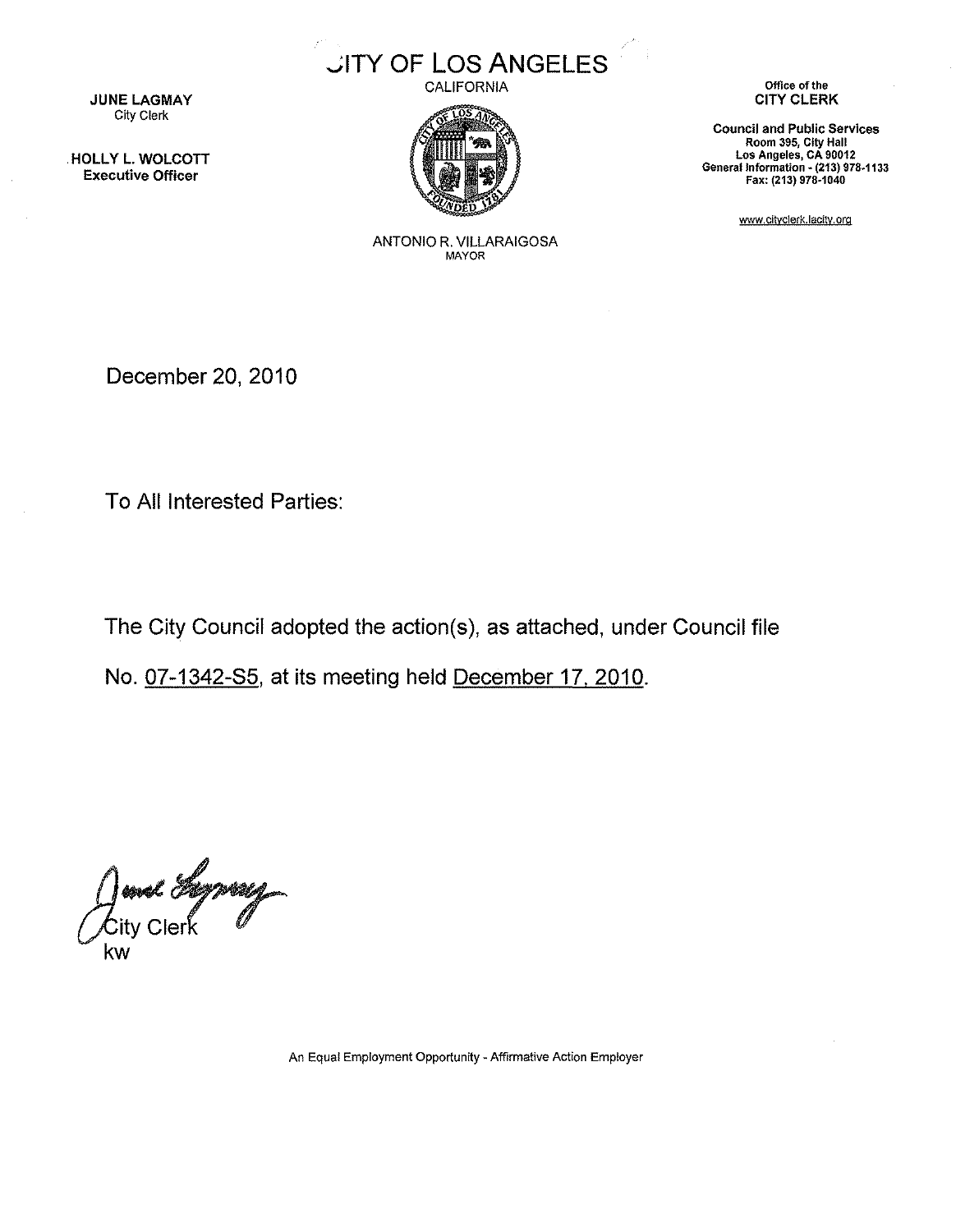

CALIFORNIA



JUNE LAGMAY City Clerk

HOLLY L. WOLCOTT Executive Officer

> ANTONIO R. VILLARAIGOSA **MAYOR**

**Office of the** CITY CLERK

**Council and Public Services Room 395, City Hall Los Angeles, CA 90012 Generallntormatlon ~ (213)** 978~1133 Fax: (213) 978·1040

www.cityclerk.lacity.org

December 20,2010

To All Interested Parties:

The City Council adopted the action(s), as attached, under Council file

No. 07-1342-85, at its meeting held December 17. 2010.

June Lyway

An Equal Employment Opportunity - Affirmative Action Employer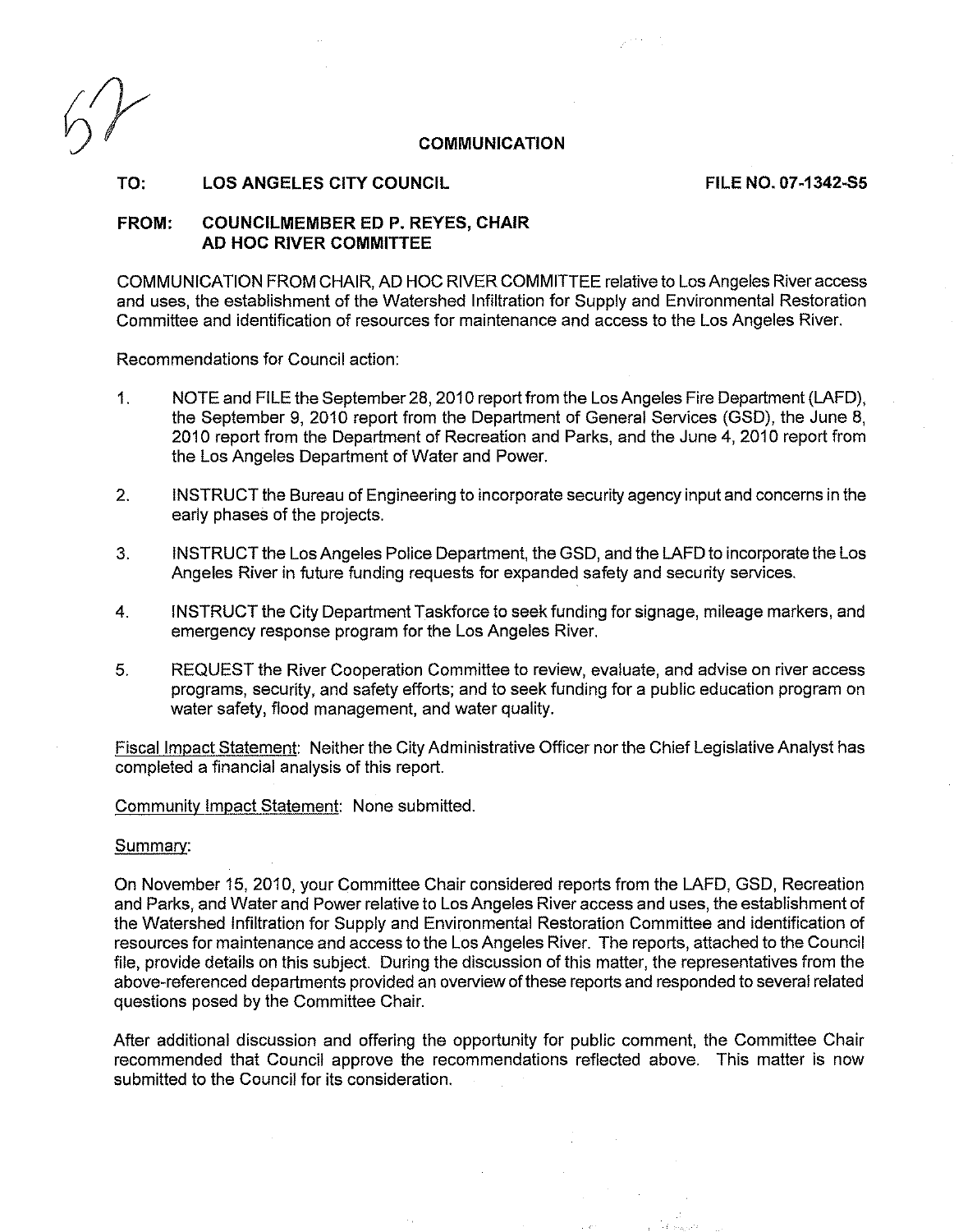## **COMMUNICATION**

**TO: LOS ANGELES CITY COUNCIL FILE NO. 07-1342-55**

## **FROM: COUNCILMEMBER ED P. REYES, CHAIR AD HOC RIVER COMMITTEE**

COMMUNICATION FROM CHAIR, AD HOC RIVER COMMITTEE relative to Los Angeles River access and uses, the establishment of the Watershed Infiltration for Supply and Environmental Restoration Committee and identification of resources for maintenance and access to the Los Angeles River.

Recommendations for Council action:

- 1. NOTE and FILE the September 28,2010 report from the Los Angeles Fire Department (LAFD), the September 9, 2010 report from the Department of General Services (GSD), the June 8, 2010 report from the Department of Recreation and Parks, and the June 4, 2010 report from the Los Angeles Department of Water and Power.
- 2. INSTRUCT the Bureau of Engineering to incorporate security agency input and concerns in the early phases of the projects.
- 3. INSTRUCT the Los Angeles Police Department, the GSD, and the LAFD to incorporate the Los Angeles River in future funding requests for expanded safety and security services.
- 4. INSTRUCT the City Department Taskforce to seek funding for signage, mileage markers, and emergency response program for the Los Angeles River.
- 5. REQUEST the River Cooperation Committee to review, evaluate, and advise on river access programs, security, and safety efforts; and to seek funding for a public education program on water safety, flood management, and water quality.

Fiscal Impact Statement: Neither the City Administrative Officer nor the Chief Legislative Analyst has completed a financial analysis of this report.

Community Impact Statement: None submitted.

## Summarv:

On November 15, 2010, your Committee Chair considered reports from the LAFD, GSD, Recreation and Parks, and Water and Power relative to Los Angeles River access and uses, the establishment of the Watershed Infiltration for Supply and Environmental Restoration Committee and identification of resources for maintenance and access to the Los Angeles River. The reports, attached to the Council file, provide details on this subject. During the discussion of this matter, the representatives from the above-referenced departments provided an overview of these reports and responded to several related questions posed by the Committee Chair.

After additional discussion and offering the opportunity for public comment, the Committee Chair recommended that Council approve the recommendations reflected above. This matter is now submitted to the Council for its consideration.